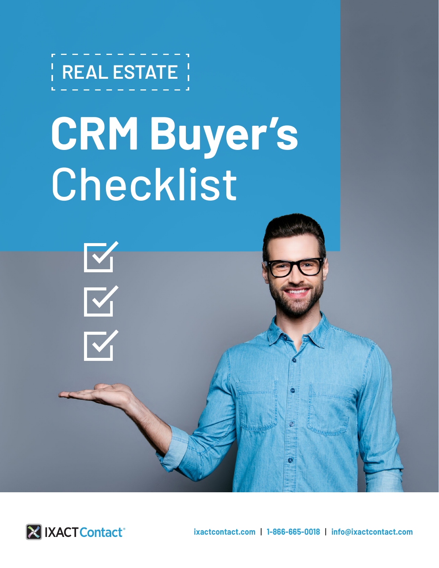**REAL ESTATE**

K K

# **CRM Buyer's**  Checklist

**X IXACT Contact**®

**[ixactcontact.com](http://www.ixactcontact.com)** | **1-866-665-0018** | **[info@ixactcontact.com](mailto:info%40ixactcontact.com?subject=)**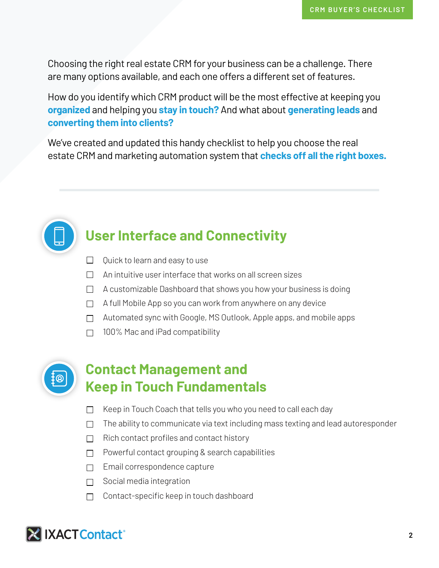Choosing the right real estate CRM for your business can be a challenge. There are many options available, and each one offers a different set of features.

How do you identify which CRM product will be the most effective at keeping you **organized** and helping you **stay in touch?** And what about **generating leads** and **converting them into clients?** 

We've created and updated this handy checklist to help you choose the real estate CRM and marketing automation system that **checks off all the right boxes.**



# **User Interface and Connectivity**

- $\Box$ Quick to learn and easy to use
- $\Box$ An intuitive user interface that works on all screen sizes
- $\Box$  A customizable Dashboard that shows you how your business is doing
- $\Box$  A full Mobile App so you can work from anywhere on any device
- $\Box$  Automated sync with Google, MS Outlook, Apple apps, and mobile apps
- $\Box$  100% Mac and iPad compatibility



#### **Contact Management and Keep in Touch Fundamentals**

- $\Box$ Keep in Touch Coach that tells you who you need to call each day
- $\Box$  The ability to communicate via text including mass texting and lead autoresponder
- $\Box$  Rich contact profiles and contact history
- Powerful contact grouping & search capabilities  $\Box$
- $\Box$  Email correspondence capture
- $\Box$  Social media integration
- □ Contact-specific keep in touch dashboard

## **X IXACTContact**®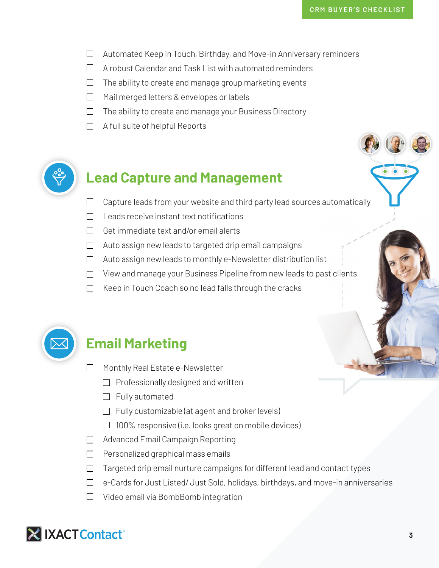- $\Box$  Automated Keep in Touch, Birthday, and Move-in Anniversary reminders
- $\Box$  A robust Calendar and Task List with automated reminders
- $\Box$  The ability to create and manage group marketing events
- $\Box$  Mail merged letters & envelopes or labels
- $\Box$  The ability to create and manage your Business Directory
- $\Box$  A full suite of helpful Reports



## **Lead Capture and Management**

- Capture leads from your website and third party lead sources automatically  $\Box$
- $\Box$ Leads receive instant text notifications
- $\Box$  Get immediate text and/or email alerts
- $\Box$  Auto assign new leads to targeted drip email campaigns
- $\Box$  Auto assign new leads to monthly e-Newsletter distribution list
- $\Box$  View and manage your Business Pipeline from new leads to past clients
- Keep in Touch Coach so no lead falls through the cracks $\Box$



## **Email Marketing**

- $\Box$ Monthly Real Estate e-Newsletter
	- $\Box$  Professionally designed and written
	- $\Box$  Fully automated
	- $\Box$  Fully customizable (at agent and broker levels)
	- $\Box$  100% responsive (i.e. looks great on mobile devices)
- □ Advanced Email Campaign Reporting
- $\Box$  Personalized graphical mass emails
- $\Box$  Targeted drip email nurture campaigns for different lead and contact types
- $\Box$  e-Cards for Just Listed/ Just Sold, holidays, birthdays, and move-in anniversaries
- $\Box$  Video email via BombBomb integration

## **X IXACT Contact**®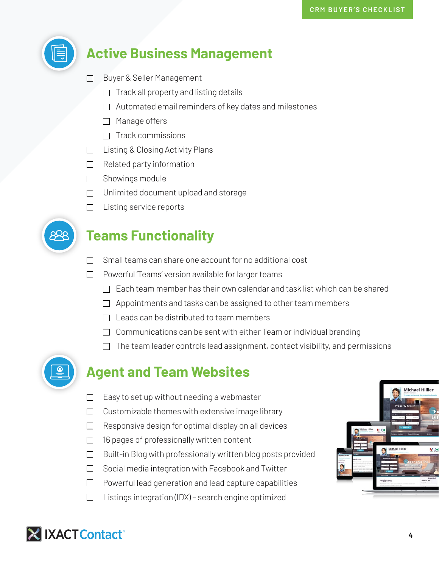

## **Active Business Management**

- $\Box$ Buyer & Seller Management
	- $\Box$  Track all property and listing details
	- $\Box$  Automated email reminders of key dates and milestones
	- $\Box$  Manage offers
	- $\Box$  Track commissions
- $\Box$  Listing & Closing Activity Plans
- $\Box$  Related party information
- $\Box$  Showings module
- $\Box$  Unlimited document upload and storage
- $\Box$  Listing service reports



## **Teams Functionality**

- Small teams can share one account for no additional cost П
- $\Box$  Powerful 'Teams' version available for larger teams
	- $\Box$  Each team member has their own calendar and task list which can be shared
	- $\Box$  Appointments and tasks can be assigned to other team members
	- $\Box$  Leads can be distributed to team members
	- $\Box$  Communications can be sent with either Team or individual branding
	- $\Box$  The team leader controls lead assignment, contact visibility, and permissions



## **Agent and Team Websites**

- $\Box$ Easy to set up without needing a webmaster
- Customizable themes with extensive image library  $\Box$
- $\Box$ Responsive design for optimal display on all devices
- $\Box$  16 pages of professionally written content
- $\Box$  Built-in Blog with professionally written blog posts provided
- $\Box$  Social media integration with Facebook and Twitter
- $\Box$  Powerful lead generation and lead capture capabilities
- Listings integration (IDX) search engine optimized  $\Box$



# **X IXACT Contact®**